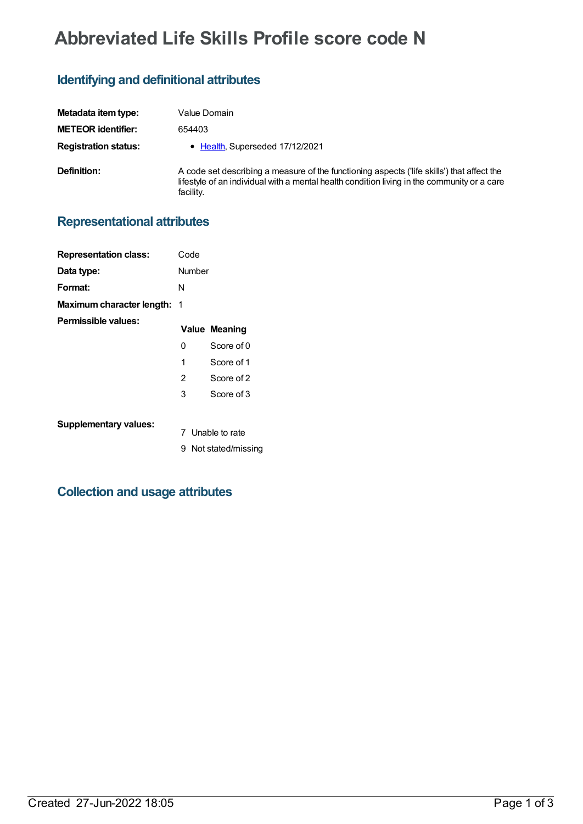# **Abbreviated Life Skills Profile score code N**

### **Identifying and definitional attributes**

| Metadata item type:         | Value Domain                                                                                                                                                                                           |
|-----------------------------|--------------------------------------------------------------------------------------------------------------------------------------------------------------------------------------------------------|
| <b>METEOR identifier:</b>   | 654403                                                                                                                                                                                                 |
| <b>Registration status:</b> | • Health, Superseded 17/12/2021                                                                                                                                                                        |
| Definition:                 | A code set describing a measure of the functioning aspects ('life skills') that affect the<br>lifestyle of an individual with a mental health condition living in the community or a care<br>facility. |

### **Representational attributes**

| <b>Representation class:</b>       | Code   |                      |
|------------------------------------|--------|----------------------|
| Data type:                         | Number |                      |
| Format:                            | N      |                      |
| <b>Maximum character length: 1</b> |        |                      |
| Permissible values:                |        | <b>Value Meaning</b> |
|                                    | 0      | Score of 0           |
|                                    | 1      | Score of 1           |
|                                    | 2      | Score of 2           |
|                                    | 3      | Score of 3           |
| <b>Supplementary values:</b>       |        | 7 Unable to rate     |
|                                    | 9.     | Not stated/missing   |

## **Collection and usage attributes**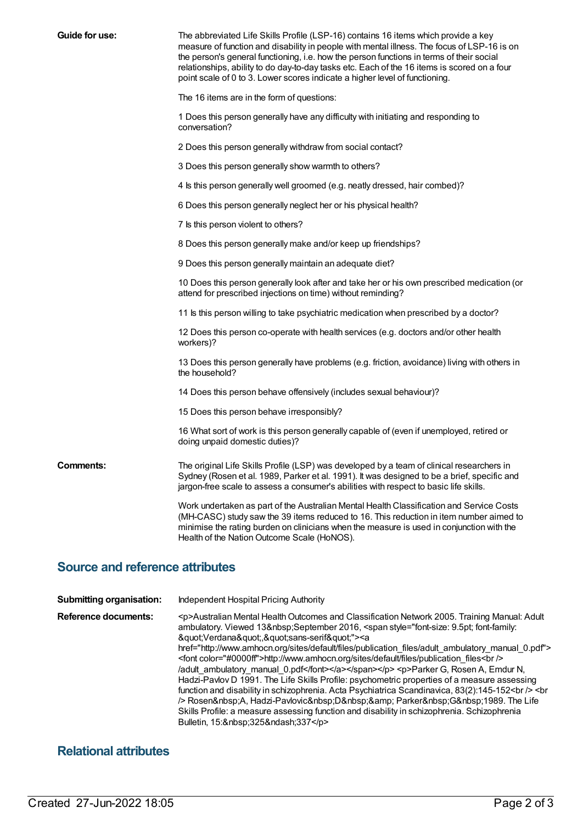| Guide for use: | The abbreviated Life Skills Profile (LSP-16) contains 16 items which provide a key<br>measure of function and disability in people with mental illness. The focus of LSP-16 is on<br>the person's general functioning, i.e. how the person functions in terms of their social<br>relationships, ability to do day-to-day tasks etc. Each of the 16 items is scored on a four<br>point scale of 0 to 3. Lower scores indicate a higher level of functioning. |
|----------------|-------------------------------------------------------------------------------------------------------------------------------------------------------------------------------------------------------------------------------------------------------------------------------------------------------------------------------------------------------------------------------------------------------------------------------------------------------------|
|                | The 16 items are in the form of questions:                                                                                                                                                                                                                                                                                                                                                                                                                  |
|                | 1 Does this person generally have any difficulty with initiating and responding to<br>conversation?                                                                                                                                                                                                                                                                                                                                                         |
|                | 2 Does this person generally withdraw from social contact?                                                                                                                                                                                                                                                                                                                                                                                                  |
|                | 3 Does this person generally show warmth to others?                                                                                                                                                                                                                                                                                                                                                                                                         |
|                | 4 ls this person generally well groomed (e.g. neatly dressed, hair combed)?                                                                                                                                                                                                                                                                                                                                                                                 |
|                | 6 Does this person generally neglect her or his physical health?                                                                                                                                                                                                                                                                                                                                                                                            |
|                | 7 Is this person violent to others?                                                                                                                                                                                                                                                                                                                                                                                                                         |
|                | 8 Does this person generally make and/or keep up friendships?                                                                                                                                                                                                                                                                                                                                                                                               |
|                | 9 Does this person generally maintain an adequate diet?                                                                                                                                                                                                                                                                                                                                                                                                     |
|                | 10 Does this person generally look after and take her or his own prescribed medication (or<br>attend for prescribed injections on time) without reminding?                                                                                                                                                                                                                                                                                                  |
|                | 11 Is this person willing to take psychiatric medication when prescribed by a doctor?                                                                                                                                                                                                                                                                                                                                                                       |
|                | 12 Does this person co-operate with health services (e.g. doctors and/or other health<br>workers)?                                                                                                                                                                                                                                                                                                                                                          |
|                | 13 Does this person generally have problems (e.g. friction, avoidance) living with others in<br>the household?                                                                                                                                                                                                                                                                                                                                              |
|                | 14 Does this person behave offensively (includes sexual behaviour)?                                                                                                                                                                                                                                                                                                                                                                                         |
|                | 15 Does this person behave irresponsibly?                                                                                                                                                                                                                                                                                                                                                                                                                   |
|                | 16 What sort of work is this person generally capable of (even if unemployed, retired or<br>doing unpaid domestic duties)?                                                                                                                                                                                                                                                                                                                                  |
| Comments:      | The original Life Skills Profile (LSP) was developed by a team of clinical researchers in<br>Sydney (Rosen et al. 1989, Parker et al. 1991). It was designed to be a brief, specific and<br>jargon-free scale to assess a consumer's abilities with respect to basic life skills.                                                                                                                                                                           |
|                | Work undertaken as part of the Australian Mental Health Classification and Service Costs<br>(MH-CASC) study saw the 39 items reduced to 16. This reduction in item number aimed to<br>minimise the rating burden on clinicians when the measure is used in conjunction with the<br>Health of the Nation Outcome Scale (HoNOS).                                                                                                                              |
|                |                                                                                                                                                                                                                                                                                                                                                                                                                                                             |

## **Source and reference attributes**

| <b>Submitting organisation:</b> | Independent Hospital Pricing Authority                                                                                                                                                                                                                                                                                                                                                                                                                                                                                                                                                                                    |
|---------------------------------|---------------------------------------------------------------------------------------------------------------------------------------------------------------------------------------------------------------------------------------------------------------------------------------------------------------------------------------------------------------------------------------------------------------------------------------------------------------------------------------------------------------------------------------------------------------------------------------------------------------------------|
| Reference documents:            | <p>Australian Mental Health Outcomes and Classification Network 2005. Training Manual: Adult<br/>ambulatory. Viewed 13 September 2016, <span style='font-size: 9.5pt; font-family:&lt;br&gt;"Verdana","sans-serif"'><a<br>href="http://www.amhocn.org/sites/default/files/publication files/adult ambulatory manual 0.pdf"&gt;<br/><font color="#0000ff">http://www.amhocn.org/sites/default/files/publication files<br/><br/>/adult ambulatory manual 0.pdf</font></a<br></span></p> <p>Parker G, Rosen A, Emdur N,<br/>Hadzi-Pavlov D 1991. The Life Skills Profile: psychometric properties of a measure assessing</p> |
|                                 | function and disability in schizophrenia. Acta Psychiatrica Scandinavica, 83(2):145-152<br>><br>br<br>/> Rosen A, Hadzi-Pavlovic D & Parker G 1989. The Life<br>Skills Profile: a measure assessing function and disability in schizophrenia. Schizophrenia<br>Bulletin, 15: 325–337                                                                                                                                                                                                                                                                                                                                      |

## **Relational attributes**